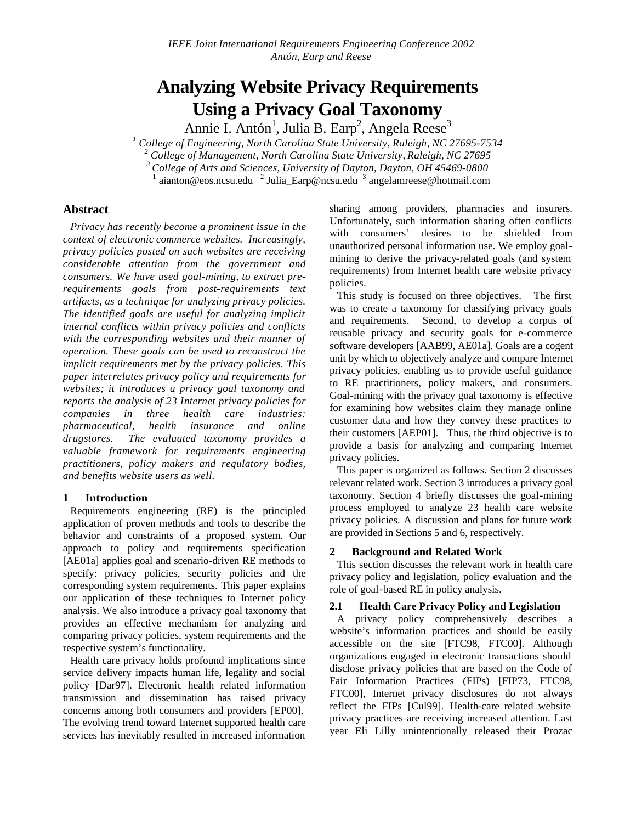# **Analyzing Website Privacy Requirements Using a Privacy Goal Taxonomy**

Annie I. Antón<sup>1</sup>, Julia B. Earp<sup>2</sup>, Angela Reese<sup>3</sup>

*1 College of Engineering, North Carolina State University, Raleigh, NC 27695-7534* <sup>2</sup> College of Management, North Carolina State University, Raleigh, NC 27695 *<sup>3</sup>College of Arts and Sciences, University of Dayton, Dayton, OH 45469-0800* <sup>1</sup> aianton@eos.ncsu.edu <sup>2</sup> Julia\_Earp@ncsu.edu <sup>3</sup> angelamreese@hotmail.com

# **Abstract**

*Privacy has recently become a prominent issue in the context of electronic commerce websites. Increasingly, privacy policies posted on such websites are receiving considerable attention from the government and consumers. We have used goal-mining, to extract prerequirements goals from post-requirements text artifacts, as a technique for analyzing privacy policies. The identified goals are useful for analyzing implicit internal conflicts within privacy policies and conflicts with the corresponding websites and their manner of operation. These goals can be used to reconstruct the implicit requirements met by the privacy policies. This paper interrelates privacy policy and requirements for websites; it introduces a privacy goal taxonomy and reports the analysis of 23 Internet privacy policies for companies in three health care industries: pharmaceutical, health insurance and online drugstores. The evaluated taxonomy provides a valuable framework for requirements engineering practitioners, policy makers and regulatory bodies, and benefits website users as well.*

# **1 Introduction**

Requirements engineering (RE) is the principled application of proven methods and tools to describe the behavior and constraints of a proposed system. Our approach to policy and requirements specification [AE01a] applies goal and scenario-driven RE methods to specify: privacy policies, security policies and the corresponding system requirements. This paper explains our application of these techniques to Internet policy analysis. We also introduce a privacy goal taxonomy that provides an effective mechanism for analyzing and comparing privacy policies, system requirements and the respective system's functionality.

Health care privacy holds profound implications since service delivery impacts human life, legality and social policy [Dar97]. Electronic health related information transmission and dissemination has raised privacy concerns among both consumers and providers [EP00]. The evolving trend toward Internet supported health care services has inevitably resulted in increased information

sharing among providers, pharmacies and insurers. Unfortunately, such information sharing often conflicts with consumers' desires to be shielded from unauthorized personal information use. We employ goalmining to derive the privacy-related goals (and system requirements) from Internet health care website privacy policies.

This study is focused on three objectives. The first was to create a taxonomy for classifying privacy goals and requirements. Second, to develop a corpus of reusable privacy and security goals for e-commerce software developers [AAB99, AE01a]. Goals are a cogent unit by which to objectively analyze and compare Internet privacy policies, enabling us to provide useful guidance to RE practitioners, policy makers, and consumers. Goal-mining with the privacy goal taxonomy is effective for examining how websites claim they manage online customer data and how they convey these practices to their customers [AEP01]. Thus, the third objective is to provide a basis for analyzing and comparing Internet privacy policies.

This paper is organized as follows. Section 2 discusses relevant related work. Section 3 introduces a privacy goal taxonomy. Section 4 briefly discusses the goal-mining process employed to analyze 23 health care website privacy policies. A discussion and plans for future work are provided in Sections 5 and 6, respectively.

# **2 Background and Related Work**

This section discusses the relevant work in health care privacy policy and legislation, policy evaluation and the role of goal-based RE in policy analysis.

# **2.1 Health Care Privacy Policy and Legislation**

A privacy policy comprehensively describes a website's information practices and should be easily accessible on the site [FTC98, FTC00]. Although organizations engaged in electronic transactions should disclose privacy policies that are based on the Code of Fair Information Practices (FIPs) [FIP73, FTC98, FTC00], Internet privacy disclosures do not always reflect the FIPs [Cul99]. Health-care related website privacy practices are receiving increased attention. Last year Eli Lilly unintentionally released their Prozac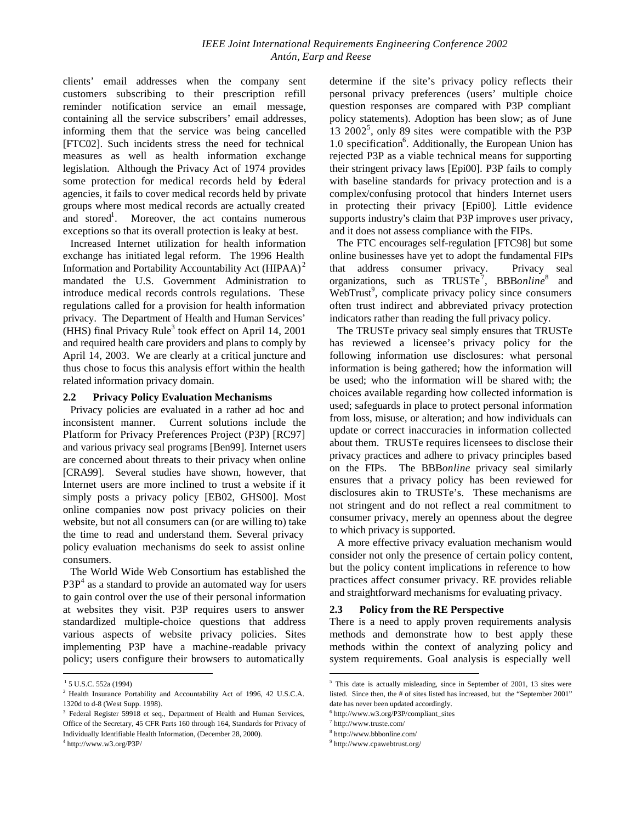clients' email addresses when the company sent customers subscribing to their prescription refill reminder notification service an email message, containing all the service subscribers' email addresses, informing them that the service was being cancelled [FTC02]. Such incidents stress the need for technical measures as well as health information exchange legislation. Although the Privacy Act of 1974 provides some protection for medical records held by federal agencies, it fails to cover medical records held by private groups where most medical records are actually created and stored<sup>1</sup>. . Moreover, the act contains numerous exceptions so that its overall protection is leaky at best.

Increased Internet utilization for health information exchange has initiated legal reform. The 1996 Health Information and Portability Accountability Act (HIPAA)<sup>2</sup> mandated the U.S. Government Administration to introduce medical records controls regulations. These regulations called for a provision for health information privacy. The Department of Health and Human Services'  $(HHS)$  final Privacy Rule<sup>3</sup> took effect on April 14, 2001 and required health care providers and plans to comply by April 14, 2003. We are clearly at a critical juncture and thus chose to focus this analysis effort within the health related information privacy domain.

#### **2.2 Privacy Policy Evaluation Mechanisms**

Privacy policies are evaluated in a rather ad hoc and inconsistent manner. Current solutions include the Platform for Privacy Preferences Project (P3P) [RC97] and various privacy seal programs [Ben99]. Internet users are concerned about threats to their privacy when online [CRA99]. Several studies have shown, however, that Internet users are more inclined to trust a website if it simply posts a privacy policy [EB02, GHS00]. Most online companies now post privacy policies on their website, but not all consumers can (or are willing to) take the time to read and understand them. Several privacy policy evaluation mechanisms do seek to assist online consumers.

The World Wide Web Consortium has established the  $P3P<sup>4</sup>$  as a standard to provide an automated way for users to gain control over the use of their personal information at websites they visit. P3P requires users to answer standardized multiple-choice questions that address various aspects of website privacy policies. Sites implementing P3P have a machine-readable privacy policy; users configure their browsers to automatically

l

4 http://www.w3.org/P3P/

determine if the site's privacy policy reflects their personal privacy preferences (users' multiple choice question responses are compared with P3P compliant policy statements). Adoption has been slow; as of June  $13\,2002^5$ , only 89 sites were compatible with the P3P 1.0 specification<sup>6</sup>. Additionally, the European Union has rejected P3P as a viable technical means for supporting their stringent privacy laws [Epi00]. P3P fails to comply with baseline standards for privacy protection and is a complex/confusing protocol that hinders Internet users in protecting their privacy [Epi00]. Little evidence supports industry's claim that P3P improves user privacy, and it does not assess compliance with the FIPs.

The FTC encourages self-regulation [FTC98] but some online businesses have yet to adopt the fundamental FIPs that address consumer privacy. Privacy seal organizations, such as TRUSTe<sup>7</sup>, BBB*online*<sup>8</sup> and WebTrust<sup>9</sup>, complicate privacy policy since consumers often trust indirect and abbreviated privacy protection indicators rather than reading the full privacy policy.

The TRUSTe privacy seal simply ensures that TRUSTe has reviewed a licensee's privacy policy for the following information use disclosures: what personal information is being gathered; how the information will be used; who the information will be shared with; the choices available regarding how collected information is used; safeguards in place to protect personal information from loss, misuse, or alteration; and how individuals can update or correct inaccuracies in information collected about them. TRUSTe requires licensees to disclose their privacy practices and adhere to privacy principles based on the FIPs. The BBB*online* privacy seal similarly ensures that a privacy policy has been reviewed for disclosures akin to TRUSTe's. These mechanisms are not stringent and do not reflect a real commitment to consumer privacy, merely an openness about the degree to which privacy is supported.

A more effective privacy evaluation mechanism would consider not only the presence of certain policy content, but the policy content implications in reference to how practices affect consumer privacy. RE provides reliable and straightforward mechanisms for evaluating privacy.

#### **2.3 Policy from the RE Perspective**

There is a need to apply proven requirements analysis methods and demonstrate how to best apply these methods within the context of analyzing policy and system requirements. Goal analysis is especially well

l

<sup>&</sup>lt;sup>1</sup> 5 U.S.C. 552a (1994)

<sup>&</sup>lt;sup>2</sup> Health Insurance Portability and Accountability Act of 1996, 42 U.S.C.A. 1320d to d-8 (West Supp. 1998).

<sup>&</sup>lt;sup>3</sup> Federal Register 59918 et seq., Department of Health and Human Services, Office of the Secretary, 45 CFR Parts 160 through 164, Standards for Privacy of Individually Identifiable Health Information, (December 28, 2000).

<sup>&</sup>lt;sup>5</sup> This date is actually misleading, since in September of 2001, 13 sites were listed. Since then, the # of sites listed has increased, but the "September 2001" date has never been updated accordingly.

<sup>6</sup> http://www.w3.org/P3P/compliant\_sites

<sup>7</sup> http://www.truste.com/

<sup>8</sup> http://www.bbbonline.com/

<sup>9</sup> http://www.cpawebtrust.org/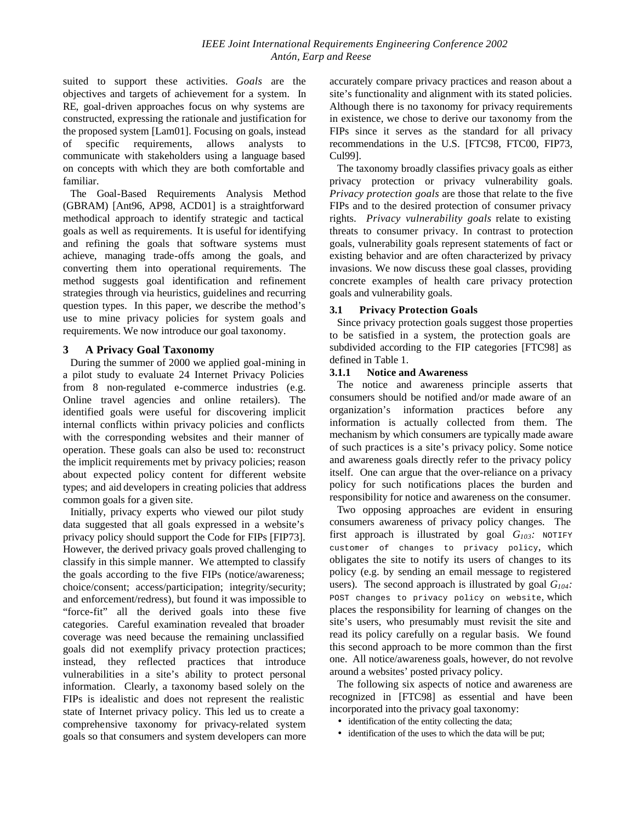#### *IEEE Joint International Requirements Engineering Conference 2002 Antón, Earp and Reese*

suited to support these activities. *Goals* are the objectives and targets of achievement for a system. In RE, goal-driven approaches focus on why systems are constructed, expressing the rationale and justification for the proposed system [Lam01]. Focusing on goals, instead of specific requirements, allows analysts to communicate with stakeholders using a language based on concepts with which they are both comfortable and familiar.

The Goal-Based Requirements Analysis Method (GBRAM) [Ant96, AP98, ACD01] is a straightforward methodical approach to identify strategic and tactical goals as well as requirements. It is useful for identifying and refining the goals that software systems must achieve, managing trade-offs among the goals, and converting them into operational requirements. The method suggests goal identification and refinement strategies through via heuristics, guidelines and recurring question types. In this paper, we describe the method's use to mine privacy policies for system goals and requirements. We now introduce our goal taxonomy.

#### **3 A Privacy Goal Taxonomy**

During the summer of 2000 we applied goal-mining in a pilot study to evaluate 24 Internet Privacy Policies from 8 non-regulated e-commerce industries (e.g. Online travel agencies and online retailers). The identified goals were useful for discovering implicit internal conflicts within privacy policies and conflicts with the corresponding websites and their manner of operation. These goals can also be used to: reconstruct the implicit requirements met by privacy policies; reason about expected policy content for different website types; and aid developers in creating policies that address common goals for a given site.

Initially, privacy experts who viewed our pilot study data suggested that all goals expressed in a website's privacy policy should support the Code for FIPs [FIP73]. However, the derived privacy goals proved challenging to classify in this simple manner. We attempted to classify the goals according to the five FIPs (notice/awareness; choice/consent; access/participation; integrity/security; and enforcement/redress), but found it was impossible to "force-fit" all the derived goals into these five categories. Careful examination revealed that broader coverage was need because the remaining unclassified goals did not exemplify privacy protection practices; instead, they reflected practices that introduce vulnerabilities in a site's ability to protect personal information. Clearly, a taxonomy based solely on the FIPs is idealistic and does not represent the realistic state of Internet privacy policy. This led us to create a comprehensive taxonomy for privacy-related system goals so that consumers and system developers can more

accurately compare privacy practices and reason about a site's functionality and alignment with its stated policies. Although there is no taxonomy for privacy requirements in existence, we chose to derive our taxonomy from the FIPs since it serves as the standard for all privacy recommendations in the U.S. [FTC98, FTC00, FIP73, Cul99].

The taxonomy broadly classifies privacy goals as either privacy protection or privacy vulnerability goals. *Privacy protection goals* are those that relate to the five FIPs and to the desired protection of consumer privacy rights. *Privacy vulnerability goals* relate to existing threats to consumer privacy. In contrast to protection goals, vulnerability goals represent statements of fact or existing behavior and are often characterized by privacy invasions. We now discuss these goal classes, providing concrete examples of health care privacy protection goals and vulnerability goals.

#### **3.1 Privacy Protection Goals**

Since privacy protection goals suggest those properties to be satisfied in a system, the protection goals are subdivided according to the FIP categories [FTC98] as defined in Table 1.

#### **3.1.1 Notice and Awareness**

The notice and awareness principle asserts that consumers should be notified and/or made aware of an organization's information practices before any information is actually collected from them. The mechanism by which consumers are typically made aware of such practices is a site's privacy policy. Some notice and awareness goals directly refer to the privacy policy itself. One can argue that the over-reliance on a privacy policy for such notifications places the burden and responsibility for notice and awareness on the consumer.

Two opposing approaches are evident in ensuring consumers awareness of privacy policy changes. The first approach is illustrated by goal  $G_{103}$ : NOTIFY customer of changes to privacy policy, which obligates the site to notify its users of changes to its policy (e.g. by sending an email message to registered users). The second approach is illustrated by goal *G104:*  POST changes to privacy policy on website, which places the responsibility for learning of changes on the site's users, who presumably must revisit the site and read its policy carefully on a regular basis. We found this second approach to be more common than the first one. All notice/awareness goals, however, do not revolve around a websites' posted privacy policy.

The following six aspects of notice and awareness are recognized in [FTC98] as essential and have been incorporated into the privacy goal taxonomy:

- identification of the entity collecting the data;
- identification of the uses to which the data will be put;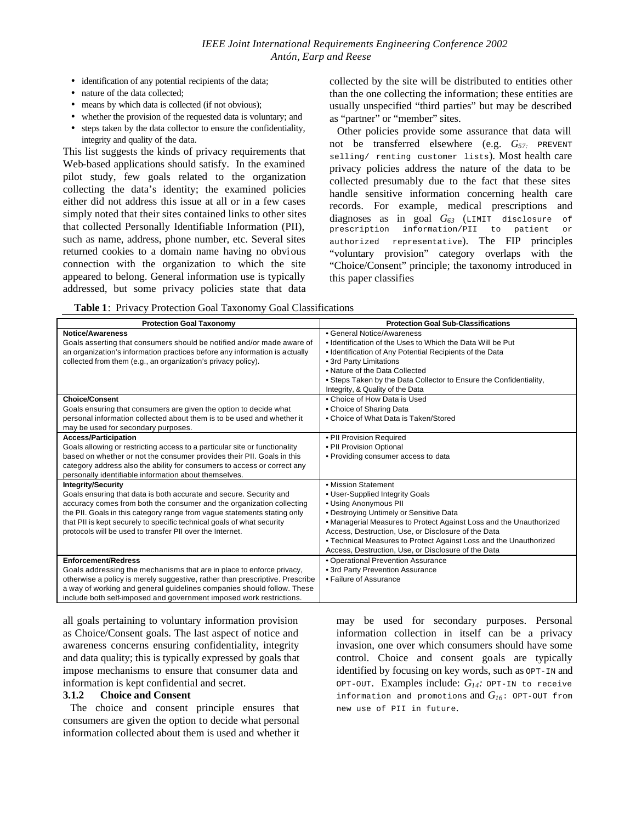- identification of any potential recipients of the data;
- nature of the data collected;
- means by which data is collected (if not obvious);
- whether the provision of the requested data is voluntary; and
- steps taken by the data collector to ensure the confidentiality, integrity and quality of the data.

This list suggests the kinds of privacy requirements that Web-based applications should satisfy. In the examined pilot study, few goals related to the organization collecting the data's identity; the examined policies either did not address this issue at all or in a few cases simply noted that their sites contained links to other sites that collected Personally Identifiable Information (PII), such as name, address, phone number, etc. Several sites returned cookies to a domain name having no obvious connection with the organization to which the site appeared to belong. General information use is typically addressed, but some privacy policies state that data collected by the site will be distributed to entities other than the one collecting the information; these entities are usually unspecified "third parties" but may be described as "partner" or "member" sites.

Other policies provide some assurance that data will not be transferred elsewhere (e.g. *G57:* PREVENT selling/ renting customer lists). Most health care privacy policies address the nature of the data to be collected presumably due to the fact that these sites handle sensitive information concerning health care records. For example, medical prescriptions and diagnoses as in goal *G63* (LIMIT disclosure of prescription information/PII to patient or authorized representative). The FIP principles "voluntary provision" category overlaps with the "Choice/Consent" principle; the taxonomy introduced in this paper classifies

**Table 1**: Privacy Protection Goal Taxonomy Goal Classifications

| <b>Protection Goal Taxonomy</b>                                                                                                                                                                                                                  | <b>Protection Goal Sub-Classifications</b>                                                                                                                                                                                                                                                                                  |
|--------------------------------------------------------------------------------------------------------------------------------------------------------------------------------------------------------------------------------------------------|-----------------------------------------------------------------------------------------------------------------------------------------------------------------------------------------------------------------------------------------------------------------------------------------------------------------------------|
| <b>Notice/Awareness</b><br>Goals asserting that consumers should be notified and/or made aware of<br>an organization's information practices before any information is actually<br>collected from them (e.g., an organization's privacy policy). | • General Notice/Awareness<br>• Identification of the Uses to Which the Data Will be Put<br>. Identification of Any Potential Recipients of the Data<br>• 3rd Party Limitations<br>• Nature of the Data Collected<br>• Steps Taken by the Data Collector to Ensure the Confidentiality,<br>Integrity, & Quality of the Data |
| <b>Choice/Consent</b>                                                                                                                                                                                                                            | • Choice of How Data is Used                                                                                                                                                                                                                                                                                                |
| Goals ensuring that consumers are given the option to decide what                                                                                                                                                                                | • Choice of Sharing Data                                                                                                                                                                                                                                                                                                    |
| personal information collected about them is to be used and whether it                                                                                                                                                                           | • Choice of What Data is Taken/Stored                                                                                                                                                                                                                                                                                       |
| may be used for secondary purposes.                                                                                                                                                                                                              |                                                                                                                                                                                                                                                                                                                             |
| <b>Access/Participation</b>                                                                                                                                                                                                                      | • PII Provision Required                                                                                                                                                                                                                                                                                                    |
| Goals allowing or restricting access to a particular site or functionality                                                                                                                                                                       | • PII Provision Optional                                                                                                                                                                                                                                                                                                    |
| based on whether or not the consumer provides their PII. Goals in this                                                                                                                                                                           | • Providing consumer access to data                                                                                                                                                                                                                                                                                         |
| category address also the ability for consumers to access or correct any                                                                                                                                                                         |                                                                                                                                                                                                                                                                                                                             |
| personally identifiable information about themselves.<br><b>Integrity/Security</b>                                                                                                                                                               | • Mission Statement                                                                                                                                                                                                                                                                                                         |
| Goals ensuring that data is both accurate and secure. Security and                                                                                                                                                                               | • User-Supplied Integrity Goals                                                                                                                                                                                                                                                                                             |
| accuracy comes from both the consumer and the organization collecting                                                                                                                                                                            | • Using Anonymous PII                                                                                                                                                                                                                                                                                                       |
| the PII. Goals in this category range from vague statements stating only                                                                                                                                                                         | • Destroying Untimely or Sensitive Data                                                                                                                                                                                                                                                                                     |
| that PII is kept securely to specific technical goals of what security                                                                                                                                                                           | • Managerial Measures to Protect Against Loss and the Unauthorized                                                                                                                                                                                                                                                          |
| protocols will be used to transfer PII over the Internet.                                                                                                                                                                                        | Access, Destruction, Use, or Disclosure of the Data                                                                                                                                                                                                                                                                         |
|                                                                                                                                                                                                                                                  | • Technical Measures to Protect Against Loss and the Unauthorized                                                                                                                                                                                                                                                           |
|                                                                                                                                                                                                                                                  | Access, Destruction, Use, or Disclosure of the Data                                                                                                                                                                                                                                                                         |
| <b>Enforcement/Redress</b>                                                                                                                                                                                                                       | • Operational Prevention Assurance                                                                                                                                                                                                                                                                                          |
| Goals addressing the mechanisms that are in place to enforce privacy,                                                                                                                                                                            | • 3rd Party Prevention Assurance                                                                                                                                                                                                                                                                                            |
| otherwise a policy is merely suggestive, rather than prescriptive. Prescribe                                                                                                                                                                     | • Failure of Assurance                                                                                                                                                                                                                                                                                                      |
| a way of working and general guidelines companies should follow. These                                                                                                                                                                           |                                                                                                                                                                                                                                                                                                                             |
| include both self-imposed and government imposed work restrictions.                                                                                                                                                                              |                                                                                                                                                                                                                                                                                                                             |

all goals pertaining to voluntary information provision as Choice/Consent goals. The last aspect of notice and awareness concerns ensuring confidentiality, integrity and data quality; this is typically expressed by goals that impose mechanisms to ensure that consumer data and information is kept confidential and secret.

## **3.1.2 Choice and Consent**

The choice and consent principle ensures that consumers are given the option to decide what personal information collected about them is used and whether it

may be used for secondary purposes. Personal information collection in itself can be a privacy invasion, one over which consumers should have some control. Choice and consent goals are typically identified by focusing on key words, such as  $OPT-IN$  and OPT-OUT. Examples include: *G14:* OPT-IN to receive information and promotions and *G16*: OPT-OUT from new use of PII in future.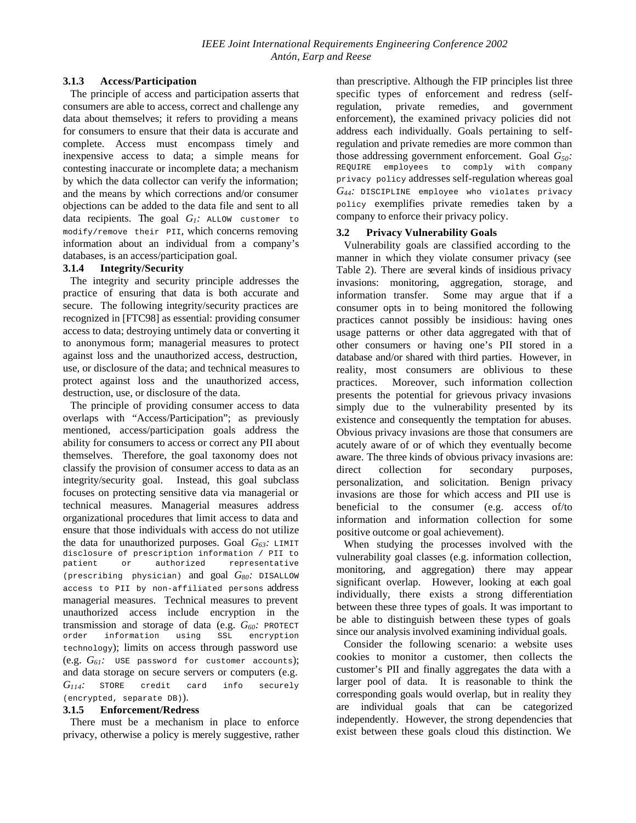## **3.1.3 Access/Participation**

The principle of access and participation asserts that consumers are able to access, correct and challenge any data about themselves; it refers to providing a means for consumers to ensure that their data is accurate and complete. Access must encompass timely and inexpensive access to data; a simple means for contesting inaccurate or incomplete data; a mechanism by which the data collector can verify the information; and the means by which corrections and/or consumer objections can be added to the data file and sent to all data recipients. The goal  $G_l$ : ALLOW customer to modify/remove their PII, which concerns removing information about an individual from a company's databases, is an access/participation goal.

## **3.1.4 Integrity/Security**

The integrity and security principle addresses the practice of ensuring that data is both accurate and secure. The following integrity/security practices are recognized in [FTC98] as essential: providing consumer access to data; destroying untimely data or converting it to anonymous form; managerial measures to protect against loss and the unauthorized access, destruction, use, or disclosure of the data; and technical measures to protect against loss and the unauthorized access, destruction, use, or disclosure of the data.

The principle of providing consumer access to data overlaps with "Access/Participation"; as previously mentioned, access/participation goals address the ability for consumers to access or correct any PII about themselves. Therefore, the goal taxonomy does not classify the provision of consumer access to data as an integrity/security goal. Instead, this goal subclass focuses on protecting sensitive data via managerial or technical measures. Managerial measures address organizational procedures that limit access to data and ensure that those individuals with access do not utilize the data for unauthorized purposes. Goal  $G_{63}$ : LIMIT disclosure of prescription information / PII to<br>patient or authorized representative patient or authorized representative (prescribing physician) and goal *G80:* DISALLOW access to PII by non-affiliated persons address managerial measures. Technical measures to prevent unauthorized access include encryption in the transmission and storage of data (e.g. *G60:* PROTECT order information using SSL encryption technology); limits on access through password use (e.g. *G61:* USE password for customer accounts); and data storage on secure servers or computers (e.g. *G114:* STORE credit card info securely (encrypted, separate DB)).

#### **3.1.5 Enforcement/Redress**

There must be a mechanism in place to enforce privacy, otherwise a policy is merely suggestive, rather than prescriptive. Although the FIP principles list three specific types of enforcement and redress (selfregulation, private remedies, and government enforcement), the examined privacy policies did not address each individually. Goals pertaining to selfregulation and private remedies are more common than those addressing government enforcement. Goal *G50:* REQUIRE employees to comply with company privacy policy addresses self-regulation whereas goal *G44:* DISCIPLINE employee who violates privacy policy exemplifies private remedies taken by a company to enforce their privacy policy.

## **3.2 Privacy Vulnerability Goals**

Vulnerability goals are classified according to the manner in which they violate consumer privacy (see Table 2). There are several kinds of insidious privacy invasions: monitoring, aggregation, storage, and information transfer. Some may argue that if a consumer opts in to being monitored the following practices cannot possibly be insidious: having ones usage patterns or other data aggregated with that of other consumers or having one's PII stored in a database and/or shared with third parties. However, in reality, most consumers are oblivious to these practices. Moreover, such information collection presents the potential for grievous privacy invasions simply due to the vulnerability presented by its existence and consequently the temptation for abuses. Obvious privacy invasions are those that consumers are acutely aware of or of which they eventually become aware. The three kinds of obvious privacy invasions are: direct collection for secondary purposes, personalization, and solicitation. Benign privacy invasions are those for which access and PII use is beneficial to the consumer (e.g. access of/to information and information collection for some positive outcome or goal achievement).

When studying the processes involved with the vulnerability goal classes (e.g. information collection, monitoring, and aggregation) there may appear significant overlap. However, looking at each goal individually, there exists a strong differentiation between these three types of goals. It was important to be able to distinguish between these types of goals since our analysis involved examining individual goals.

Consider the following scenario: a website uses cookies to monitor a customer, then collects the customer's PII and finally aggregates the data with a larger pool of data. It is reasonable to think the corresponding goals would overlap, but in reality they are individual goals that can be categorized independently. However, the strong dependencies that exist between these goals cloud this distinction. We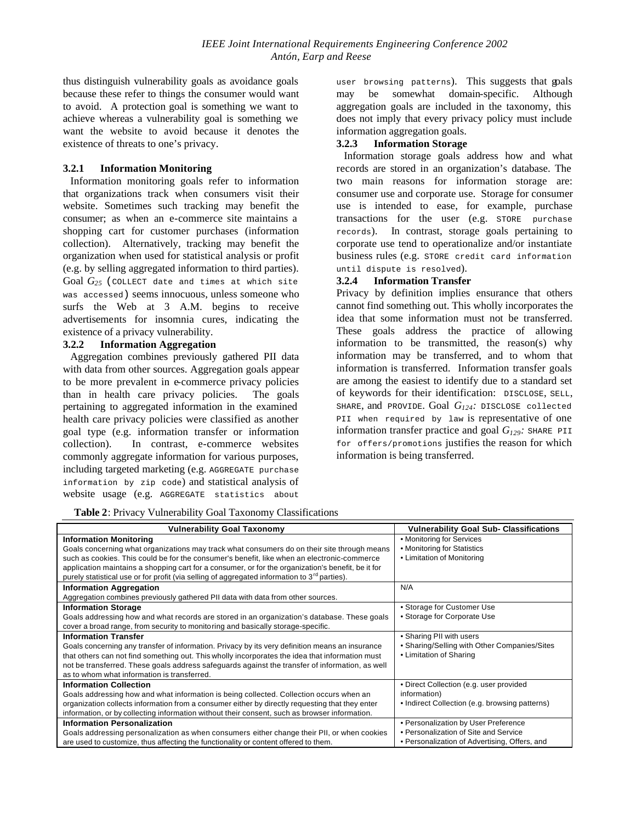thus distinguish vulnerability goals as avoidance goals because these refer to things the consumer would want to avoid. A protection goal is something we want to achieve whereas a vulnerability goal is something we want the website to avoid because it denotes the existence of threats to one's privacy.

## **3.2.1 Information Monitoring**

Information monitoring goals refer to information that organizations track when consumers visit their website. Sometimes such tracking may benefit the consumer; as when an e-commerce site maintains a shopping cart for customer purchases (information collection). Alternatively, tracking may benefit the organization when used for statistical analysis or profit (e.g. by selling aggregated information to third parties). Goal *G<sup>25</sup>* (COLLECT date and times at which site was accessed) seems innocuous, unless someone who surfs the Web at 3 A.M. begins to receive advertisements for insomnia cures, indicating the existence of a privacy vulnerability.<br>3.2.2 Information Aggregation

## **3.2.2 Information Aggregation**

Aggregation combines previously gathered PII data with data from other sources. Aggregation goals appear to be more prevalent in e-commerce privacy policies than in health care privacy policies. The goals pertaining to aggregated information in the examined health care privacy policies were classified as another goal type (e.g. information transfer or information collection). In contrast, e-commerce websites commonly aggregate information for various purposes, including targeted marketing (e.g. AGGREGATE purchase information by zip code) and statistical analysis of website usage (e.g. AGGREGATE statistics about

user browsing patterns). This suggests that goals may be somewhat domain-specific. Although aggregation goals are included in the taxonomy, this does not imply that every privacy policy must include information aggregation goals.

## **3.2.3 Information Storage**

Information storage goals address how and what records are stored in an organization's database. The two main reasons for information storage are: consumer use and corporate use. Storage for consumer use is intended to ease, for example, purchase transactions for the user (e.g. STORE purchase records). In contrast, storage goals pertaining to corporate use tend to operationalize and/or instantiate business rules (e.g. STORE credit card information until dispute is resolved).

#### **3.2.4 Information Transfer**

Privacy by definition implies ensurance that others cannot find something out. This wholly incorporates the idea that some information must not be transferred. These goals address the practice of allowing information to be transmitted, the reason(s) why information may be transferred, and to whom that information is transferred. Information transfer goals are among the easiest to identify due to a standard set of keywords for their identification: DISCLOSE, SELL, SHARE, and PROVIDE. Goal *G124:* DISCLOSE collected PII when required by law is representative of one information transfer practice and goal  $G_{129}$ : SHARE PII for offers/promotions justifies the reason for which information is being transferred.

**Table 2**: Privacy Vulnerability Goal Taxonomy Classifications

| <b>Vulnerability Goal Taxonomy</b>                                                                 | <b>Vulnerability Goal Sub- Classifications</b> |
|----------------------------------------------------------------------------------------------------|------------------------------------------------|
| <b>Information Monitoring</b>                                                                      | • Monitoring for Services                      |
| Goals concerning what organizations may track what consumers do on their site through means        | • Monitoring for Statistics                    |
| such as cookies. This could be for the consumer's benefit, like when an electronic-commerce        | • Limitation of Monitoring                     |
| application maintains a shopping cart for a consumer, or for the organization's benefit, be it for |                                                |
| purely statistical use or for profit (via selling of aggregated information to $3^{rd}$ parties).  |                                                |
| <b>Information Aggregation</b>                                                                     | N/A                                            |
| Aggregation combines previously gathered PII data with data from other sources.                    |                                                |
| <b>Information Storage</b>                                                                         | • Storage for Customer Use                     |
| Goals addressing how and what records are stored in an organization's database. These goals        | • Storage for Corporate Use                    |
| cover a broad range, from security to monitoring and basically storage-specific.                   |                                                |
| <b>Information Transfer</b>                                                                        | • Sharing PII with users                       |
| Goals concerning any transfer of information. Privacy by its very definition means an insurance    | • Sharing/Selling with Other Companies/Sites   |
| that others can not find something out. This wholly incorporates the idea that information must    | • Limitation of Sharing                        |
| not be transferred. These goals address safeguards against the transfer of information, as well    |                                                |
| as to whom what information is transferred.                                                        |                                                |
| <b>Information Collection</b>                                                                      | • Direct Collection (e.g. user provided        |
| Goals addressing how and what information is being collected. Collection occurs when an            | information)                                   |
| organization collects information from a consumer either by directly requesting that they enter    | • Indirect Collection (e.g. browsing patterns) |
| information, or by collecting information without their consent, such as browser information.      |                                                |
| <b>Information Personalization</b>                                                                 | • Personalization by User Preference           |
| Goals addressing personalization as when consumers either change their PII, or when cookies        | • Personalization of Site and Service          |
| are used to customize, thus affecting the functionality or content offered to them.                | • Personalization of Advertising, Offers, and  |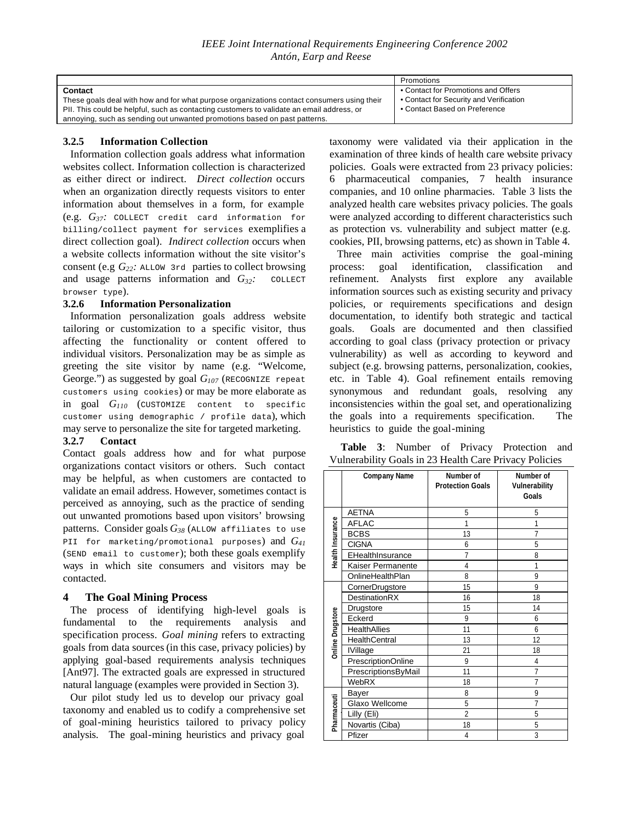|                                                                                            | Promotions                              |
|--------------------------------------------------------------------------------------------|-----------------------------------------|
| Contact                                                                                    | • Contact for Promotions and Offers     |
| These goals deal with how and for what purpose organizations contact consumers using their | • Contact for Security and Verification |
| PII. This could be helpful, such as contacting customers to validate an email address, or  | • Contact Based on Preference           |
| annoying, such as sending out unwanted promotions based on past patterns.                  |                                         |

#### **3.2.5 Information Collection**

Information collection goals address what information websites collect. Information collection is characterized as either direct or indirect. *Direct collection* occurs when an organization directly requests visitors to enter information about themselves in a form, for example (e.g. *G37:* COLLECT credit card information for billing/collect payment for services exemplifies a direct collection goal). *Indirect collection* occurs when a website collects information without the site visitor's consent (e.g *G22:* ALLOW 3rd parties to collect browsing and usage patterns information and  $G_{32}$ : COLLECT browser type).

#### **3.2.6 Information Personalization**

Information personalization goals address website tailoring or customization to a specific visitor, thus affecting the functionality or content offered to individual visitors. Personalization may be as simple as greeting the site visitor by name (e.g. "Welcome, George.") as suggested by goal *G107* (RECOGNIZE repeat customers using cookies) or may be more elaborate as in goal *G110* (CUSTOMIZE content to specific customer using demographic / profile data), which may serve to personalize the site for targeted marketing.

#### **3.2.7 Contact**

Contact goals address how and for what purpose organizations contact visitors or others. Such contact may be helpful, as when customers are contacted to validate an email address. However, sometimes contact is perceived as annoying, such as the practice of sending out unwanted promotions based upon visitors' browsing patterns. Consider goals *G38* (ALLOW affiliates to use PII for marketing/promotional purposes) and *G<sup>41</sup>* (SEND email to customer); both these goals exemplify ways in which site consumers and visitors may be contacted.

#### **4 The Goal Mining Process**

The process of identifying high-level goals is fundamental to the requirements analysis and specification process. *Goal mining* refers to extracting goals from data sources (in this case, privacy policies) by applying goal-based requirements analysis techniques [Ant97]. The extracted goals are expressed in structured natural language (examples were provided in Section 3).

Our pilot study led us to develop our privacy goal taxonomy and enabled us to codify a comprehensive set of goal-mining heuristics tailored to privacy policy analysis. The goal-mining heuristics and privacy goal

taxonomy were validated via their application in the examination of three kinds of health care website privacy policies. Goals were extracted from 23 privacy policies: 6 pharmaceutical companies, 7 health insurance companies, and 10 online pharmacies. Table 3 lists the analyzed health care websites privacy policies. The goals were analyzed according to different characteristics such as protection vs. vulnerability and subject matter (e.g. cookies, PII, browsing patterns, etc) as shown in Table 4.

Three main activities comprise the goal-mining process: goal identification, classification and refinement. Analysts first explore any available information sources such as existing security and privacy policies, or requirements specifications and design documentation, to identify both strategic and tactical goals. Goals are documented and then classified according to goal class (privacy protection or privacy vulnerability) as well as according to keyword and subject (e.g. browsing patterns, personalization, cookies, etc. in Table 4). Goal refinement entails removing synonymous and redundant goals, resolving any inconsistencies within the goal set, and operationalizing the goals into a requirements specification. The heuristics to guide the goal-mining

|                                                        |  |  |  |  | Table 3: Number of Privacy Protection and |  |  |  |
|--------------------------------------------------------|--|--|--|--|-------------------------------------------|--|--|--|
| Vulnerability Goals in 23 Health Care Privacy Policies |  |  |  |  |                                           |  |  |  |

|                         | <b>Company Name</b>       | Number of<br><b>Protection Goals</b> | Number of<br>Vulnerability<br>Goals |
|-------------------------|---------------------------|--------------------------------------|-------------------------------------|
|                         | <b>AETNA</b>              | 5                                    | 5                                   |
| Health Insurance        | <b>AFLAC</b>              | 1                                    | 1                                   |
|                         | <b>BCBS</b>               | 13                                   | 7                                   |
|                         | <b>CIGNA</b>              | 6                                    | 5                                   |
|                         | EHealthInsurance          | 7                                    | 8                                   |
|                         | Kaiser Permanente         | $\overline{4}$                       | 1                                   |
|                         | OnlineHealthPlan          | 8                                    | 9                                   |
|                         | CornerDrugstore           | 15                                   | 9                                   |
|                         | <b>DestinationRX</b>      | 16                                   | 18                                  |
|                         | Drugstore                 | 15                                   | 14                                  |
|                         | Eckerd                    | 9                                    | 6                                   |
| <b>Online Drugstore</b> | <b>HealthAllies</b>       | 11                                   | 6                                   |
|                         | <b>HealthCentral</b>      | 13                                   | 12                                  |
|                         | <b>IVillage</b>           | 21                                   | 18                                  |
|                         | <b>PrescriptionOnline</b> | 9                                    | $\overline{4}$                      |
|                         | PrescriptionsByMail       | 11                                   | 7                                   |
|                         | WebRX                     | 18                                   | 7                                   |
|                         | Bayer                     | 8                                    | 9                                   |
|                         | Glaxo Wellcome            | 5                                    | 7                                   |
|                         | Lilly (Eli)               | $\overline{\mathcal{L}}$             | 5                                   |
| Pharmaceuti             | Novartis (Ciba)           | 18                                   | 5                                   |
|                         | Pfizer                    | 4                                    | 3                                   |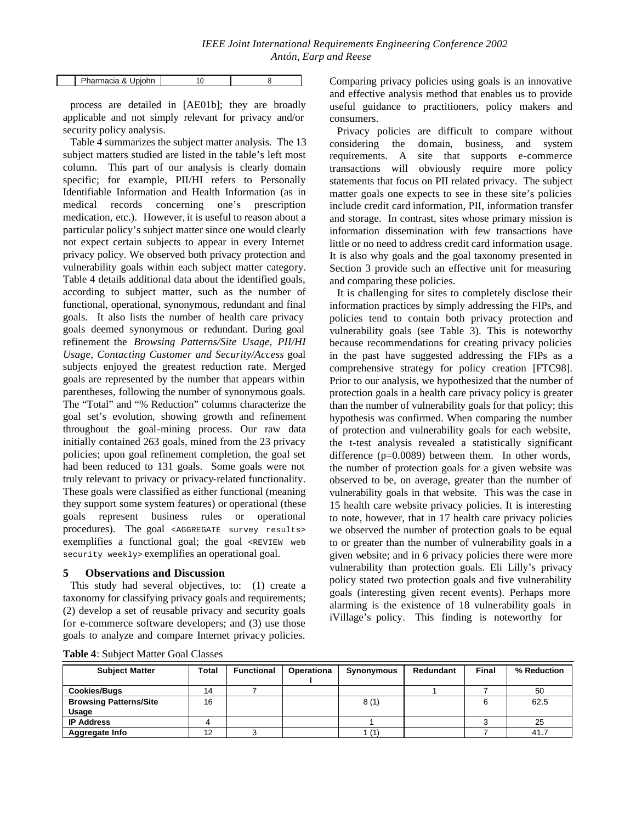| Pharmacia & Upjohn |  |  |
|--------------------|--|--|
|                    |  |  |

process are detailed in [AE01b]; they are broadly applicable and not simply relevant for privacy and/or security policy analysis.

Table 4 summarizes the subject matter analysis. The 13 subject matters studied are listed in the table's left most column. This part of our analysis is clearly domain specific; for example, PII/HI refers to Personally Identifiable Information and Health Information (as in medical records concerning one's prescription medication, etc.). However, it is useful to reason about a particular policy's subject matter since one would clearly not expect certain subjects to appear in every Internet privacy policy. We observed both privacy protection and vulnerability goals within each subject matter category. Table 4 details additional data about the identified goals, according to subject matter, such as the number of functional, operational, synonymous, redundant and final goals. It also lists the number of health care privacy goals deemed synonymous or redundant. During goal refinement the *Browsing Patterns/Site Usage, PII/HI Usage, Contacting Customer and Security/Access* goal subjects enjoyed the greatest reduction rate. Merged goals are represented by the number that appears within parentheses, following the number of synonymous goals. The "Total" and "% Reduction" columns characterize the goal set's evolution, showing growth and refinement throughout the goal-mining process. Our raw data initially contained 263 goals, mined from the 23 privacy policies; upon goal refinement completion, the goal set had been reduced to 131 goals. Some goals were not truly relevant to privacy or privacy-related functionality. These goals were classified as either functional (meaning they support some system features) or operational (these goals represent business rules or operational procedures). The goal <AGGREGATE survey results> exemplifies a functional goal; the goal <REVIEW web security weekly> exemplifies an operational goal.

### **5 Observations and Discussion**

This study had several objectives, to: (1) create a taxonomy for classifying privacy goals and requirements; (2) develop a set of reusable privacy and security goals for e-commerce software developers; and (3) use those goals to analyze and compare Internet privacy policies.

Comparing privacy policies using goals is an innovative and effective analysis method that enables us to provide useful guidance to practitioners, policy makers and consumers.

Privacy policies are difficult to compare without considering the domain, business, and system requirements. A site that supports e-commerce transactions will obviously require more policy statements that focus on PII related privacy. The subject matter goals one expects to see in these site's policies include credit card information, PII, information transfer and storage. In contrast, sites whose primary mission is information dissemination with few transactions have little or no need to address credit card information usage. It is also why goals and the goal taxonomy presented in Section 3 provide such an effective unit for measuring and comparing these policies.

It is challenging for sites to completely disclose their information practices by simply addressing the FIPs, and policies tend to contain both privacy protection and vulnerability goals (see Table 3). This is noteworthy because recommendations for creating privacy policies in the past have suggested addressing the FIPs as a comprehensive strategy for policy creation [FTC98]. Prior to our analysis, we hypothesized that the number of protection goals in a health care privacy policy is greater than the number of vulnerability goals for that policy; this hypothesis was confirmed. When comparing the number of protection and vulnerability goals for each website, the t-test analysis revealed a statistically significant difference  $(p=0.0089)$  between them. In other words, the number of protection goals for a given website was observed to be, on average, greater than the number of vulnerability goals in that website. This was the case in 15 health care website privacy policies. It is interesting to note, however, that in 17 health care privacy policies we observed the number of protection goals to be equal to or greater than the number of vulnerability goals in a given website; and in 6 privacy policies there were more vulnerability than protection goals. Eli Lilly's privacy policy stated two protection goals and five vulnerability goals (interesting given recent events). Perhaps more alarming is the existence of 18 vulnerability goals in iVillage's policy. This finding is noteworthy for

| Table 4: Subject Matter Goal Classes |  |  |  |  |  |  |
|--------------------------------------|--|--|--|--|--|--|
|--------------------------------------|--|--|--|--|--|--|

| <b>Subject Matter</b>         | <b>Total</b> | <b>Functional</b> | Operationa | Synonymous | Redundant | Final | % Reduction |
|-------------------------------|--------------|-------------------|------------|------------|-----------|-------|-------------|
| <b>Cookies/Bugs</b>           | 14           |                   |            |            |           |       | 50          |
| <b>Browsing Patterns/Site</b> | 16           |                   |            | 8(1)       |           |       | 62.5        |
| Usage                         |              |                   |            |            |           |       |             |
| <b>IP Address</b>             |              |                   |            |            |           |       | 25          |
| Aggregate Info                | 12           |                   |            |            |           |       | 41.7        |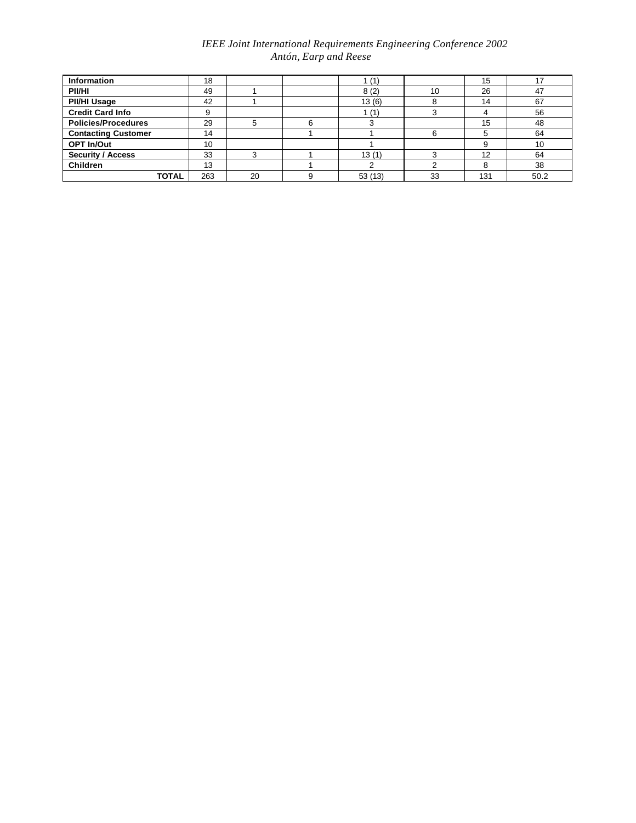## *IEEE Joint International Requirements Engineering Conference 2002 Antón, Earp and Reese*

| Information                | 18  |    |   |        |    | 15  |      |
|----------------------------|-----|----|---|--------|----|-----|------|
| PII/HI                     | 49  |    |   | 8(2)   | 10 | 26  | 47   |
| <b>PII/HI Usage</b>        | 42  |    |   | 13(6)  |    | 14  | 67   |
| <b>Credit Card Info</b>    |     |    |   |        |    |     | 56   |
| <b>Policies/Procedures</b> | 29  |    | ี |        |    | 15  | 48   |
| <b>Contacting Customer</b> | 14  |    |   |        | 6  | 5   | 64   |
| <b>OPT In/Out</b>          | 10  |    |   |        |    |     | 10   |
| <b>Security / Access</b>   | 33  |    |   | 13(1)  |    | 12  | 64   |
| <b>Children</b>            | 13  |    |   |        |    | 8   | 38   |
| TOTAL                      | 263 | 20 |   | 53(13) | 33 | 131 | 50.2 |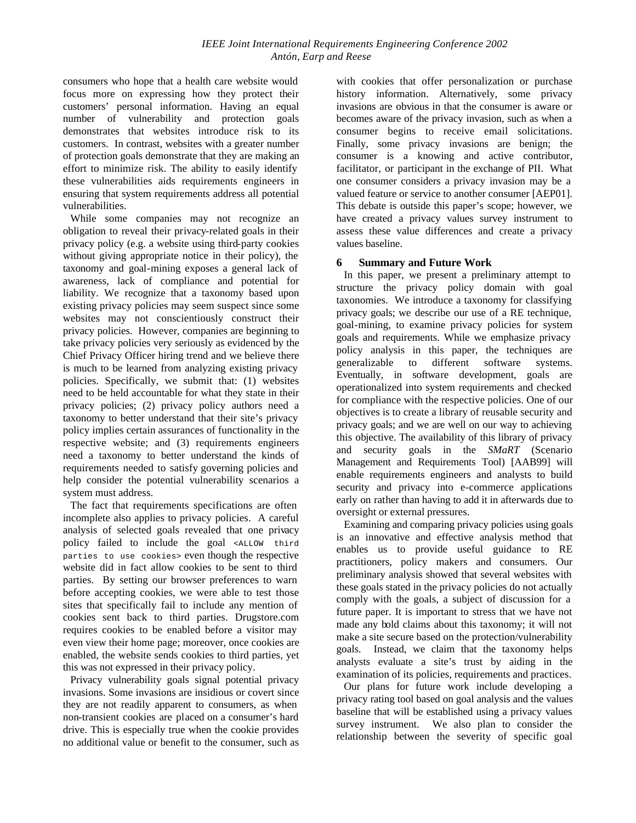consumers who hope that a health care website would focus more on expressing how they protect their customers' personal information. Having an equal number of vulnerability and protection goals demonstrates that websites introduce risk to its customers. In contrast, websites with a greater number of protection goals demonstrate that they are making an effort to minimize risk. The ability to easily identify these vulnerabilities aids requirements engineers in ensuring that system requirements address all potential vulnerabilities.

While some companies may not recognize an obligation to reveal their privacy-related goals in their privacy policy (e.g. a website using third-party cookies without giving appropriate notice in their policy), the taxonomy and goal-mining exposes a general lack of awareness, lack of compliance and potential for liability. We recognize that a taxonomy based upon existing privacy policies may seem suspect since some websites may not conscientiously construct their privacy policies. However, companies are beginning to take privacy policies very seriously as evidenced by the Chief Privacy Officer hiring trend and we believe there is much to be learned from analyzing existing privacy policies. Specifically, we submit that: (1) websites need to be held accountable for what they state in their privacy policies; (2) privacy policy authors need a taxonomy to better understand that their site's privacy policy implies certain assurances of functionality in the respective website; and (3) requirements engineers need a taxonomy to better understand the kinds of requirements needed to satisfy governing policies and help consider the potential vulnerability scenarios a system must address.

The fact that requirements specifications are often incomplete also applies to privacy policies. A careful analysis of selected goals revealed that one privacy policy failed to include the goal <ALLOW third parties to use cookies> even though the respective website did in fact allow cookies to be sent to third parties. By setting our browser preferences to warn before accepting cookies, we were able to test those sites that specifically fail to include any mention of cookies sent back to third parties. Drugstore.com requires cookies to be enabled before a visitor may even view their home page; moreover, once cookies are enabled, the website sends cookies to third parties, yet this was not expressed in their privacy policy.

Privacy vulnerability goals signal potential privacy invasions. Some invasions are insidious or covert since they are not readily apparent to consumers, as when non-transient cookies are placed on a consumer's hard drive. This is especially true when the cookie provides no additional value or benefit to the consumer, such as

with cookies that offer personalization or purchase history information. Alternatively, some privacy invasions are obvious in that the consumer is aware or becomes aware of the privacy invasion, such as when a consumer begins to receive email solicitations. Finally, some privacy invasions are benign; the consumer is a knowing and active contributor, facilitator, or participant in the exchange of PII. What one consumer considers a privacy invasion may be a valued feature or service to another consumer [AEP01]. This debate is outside this paper's scope; however, we have created a privacy values survey instrument to assess these value differences and create a privacy values baseline.

## **6 Summary and Future Work**

In this paper, we present a preliminary attempt to structure the privacy policy domain with goal taxonomies. We introduce a taxonomy for classifying privacy goals; we describe our use of a RE technique, goal-mining, to examine privacy policies for system goals and requirements. While we emphasize privacy policy analysis in this paper, the techniques are generalizable to different software systems. Eventually, in software development, goals are operationalized into system requirements and checked for compliance with the respective policies. One of our objectives is to create a library of reusable security and privacy goals; and we are well on our way to achieving this objective. The availability of this library of privacy and security goals in the *SMaRT* (Scenario Management and Requirements Tool) [AAB99] will enable requirements engineers and analysts to build security and privacy into e-commerce applications early on rather than having to add it in afterwards due to oversight or external pressures.

Examining and comparing privacy policies using goals is an innovative and effective analysis method that enables us to provide useful guidance to RE practitioners, policy makers and consumers. Our preliminary analysis showed that several websites with these goals stated in the privacy policies do not actually comply with the goals, a subject of discussion for a future paper. It is important to stress that we have not made any bold claims about this taxonomy; it will not make a site secure based on the protection/vulnerability goals. Instead, we claim that the taxonomy helps analysts evaluate a site's trust by aiding in the examination of its policies, requirements and practices.

Our plans for future work include developing a privacy rating tool based on goal analysis and the values baseline that will be established using a privacy values survey instrument. We also plan to consider the relationship between the severity of specific goal